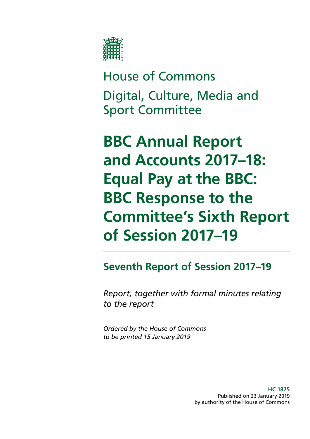

House of Commons Digital, Culture, Media and Sport Committee

**BBC Annual Report and Accounts 2017–18: Equal Pay at the BBC: BBC Response to the Committee's Sixth Report of Session 2017–19**

**Seventh Report of Session 2017–19**

*Report, together with formal minutes relating to the report*

*Ordered by the House of Commons to be printed 15 January 2019*

> **HC 1875** Published on 23 January 2019 by authority of the House of Commons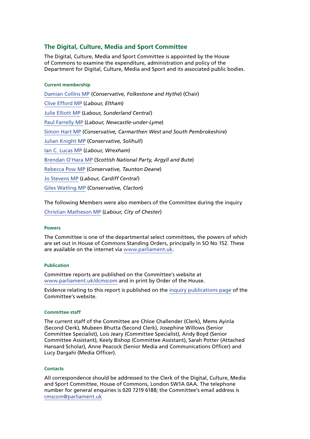#### **The Digital, Culture, Media and Sport Committee**

The Digital, Culture, Media and Sport Committee is appointed by the House of Commons to examine the expenditure, administration and policy of the Department for Digital, Culture, Media and Sport and its associated public bodies.

#### **Current membership**

[Damian Collins MP](https://www.parliament.uk/biographies/commons/damian-collins/3986) (*Conservative, Folkestone and Hythe*) (Chair) [Clive Efford MP](https://www.parliament.uk/biographies/commons/clive-efford/165) (*Labour, Eltham*) [Julie Elliott MP](https://www.parliament.uk/biographies/commons/julie-elliott/4127) (*Labour, Sunderland Central*) [Paul Farrelly MP](https://www.parliament.uk/biographies/commons/paul-farrelly/1436) (*Labour, Newcastle-under-Lyme*) [Simon Hart MP](https://www.parliament.uk/biographies/commons/simon-hart/3944) (*Conservative, Carmarthen West and South Pembrokeshire*) [Julian Knight MP](https://www.parliament.uk/biographies/commons/julian-knight/4410) (*Conservative, Solihull*) [Ian C. Lucas MP](https://www.parliament.uk/biographies/commons/ian-c.-lucas/1470) (*Labour, Wrexham*) [Brendan O'Hara MP](https://www.parliament.uk/biographies/commons/brendan-o) (*Scottish National Party, Argyll and Bute*) [Rebecca Pow MP](https://www.parliament.uk/biographies/commons/rebecca-pow/4522) (*Conservative, Taunton Deane*) [Jo Stevens MP](https://www.parliament.uk/biographies/commons/jo-stevens/4425) (*Labour, Cardiff Central*) [Giles Watling MP](https://www.parliament.uk/biographies/commons/giles-watling/4677) (*Conservative, Clacton*)

The following Members were also members of the Committee during the inquiry [Christian Matheson MP](https://www.parliament.uk/biographies/commons/Christian-Matheson/4408) (*Labour, City of Chester*)

#### **Powers**

The Committee is one of the departmental select committees, the powers of which are set out in House of Commons Standing Orders, principally in SO No 152. These are available on the internet via [www.parliament.uk.](https://www.parliament.uk/)

#### **Publication**

Committee reports are published on the Committee's website at [www.parliament.uk/dcmscom](https://www.parliament.uk/business/committees/committees-a-z/commons-select/digital-culture-media-and-sport-committee/) and in print by Order of the House.

Evidence relating to this report is published on the [inquiry publications page](https://www.parliament.uk/business/committees/committees-a-z/commons-select/digital-culture-media-and-sport-committee/inquiries/parliament-2017/inquiry4/publications/) of the Committee's website.

#### **Committee staff**

The current staff of the Committee are Chloe Challender (Clerk), Mems Ayinla (Second Clerk), Mubeen Bhutta (Second Clerk), Josephine Willows (Senior Committee Specialist), Lois Jeary (Committee Specialist), Andy Boyd (Senior Committee Assistant), Keely Bishop (Committee Assistant), Sarah Potter (Attached Hansard Scholar), Anne Peacock (Senior Media and Communications Officer) and Lucy Dargahi (Media Officer).

#### **Contacts**

All correspondence should be addressed to the Clerk of the Digital, Culture, Media and Sport Committee, House of Commons, London SW1A 0AA. The telephone number for general enquiries is 020 7219 6188; the Committee's email address is [cmscom@parliament.uk](mailto:cmscom%40parliament.uk?subject=)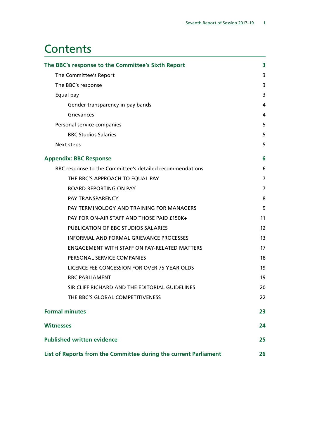# **Contents**

| The BBC's response to the Committee's Sixth Report               | 3                 |
|------------------------------------------------------------------|-------------------|
| The Committee's Report                                           | 3                 |
| The BBC's response                                               | 3                 |
| Equal pay                                                        | 3                 |
| Gender transparency in pay bands                                 | 4                 |
| Grievances                                                       | 4                 |
| Personal service companies                                       | 5                 |
| <b>BBC Studios Salaries</b>                                      | 5                 |
| Next steps                                                       | 5                 |
| <b>Appendix: BBC Response</b>                                    | 6                 |
| BBC response to the Committee's detailed recommendations         | 6                 |
| THE BBC'S APPROACH TO EQUAL PAY                                  | 7                 |
| <b>BOARD REPORTING ON PAY</b>                                    | 7                 |
| PAY TRANSPARENCY                                                 | 8                 |
| PAY TERMINOLOGY AND TRAINING FOR MANAGERS                        | 9                 |
| PAY FOR ON-AIR STAFF AND THOSE PAID £150K+                       | 11                |
| PUBLICATION OF BBC STUDIOS SALARIES                              | $12 \overline{ }$ |
| <b>INFORMAL AND FORMAL GRIEVANCE PROCESSES</b>                   | 13                |
| <b>ENGAGEMENT WITH STAFF ON PAY-RELATED MATTERS</b>              | 17                |
| PERSONAL SERVICE COMPANIES                                       | 18                |
| LICENCE FEE CONCESSION FOR OVER 75 YEAR OLDS                     | 19                |
| <b>BBC PARLIAMENT</b>                                            | 19                |
| SIR CLIFF RICHARD AND THE EDITORIAL GUIDELINES                   | 20                |
| THE BBC'S GLOBAL COMPETITIVENESS                                 | 22                |
| <b>Formal minutes</b>                                            | 23                |
| <b>Witnesses</b>                                                 | 24                |
| <b>Published written evidence</b>                                | 25                |
| List of Reports from the Committee during the current Parliament | 26                |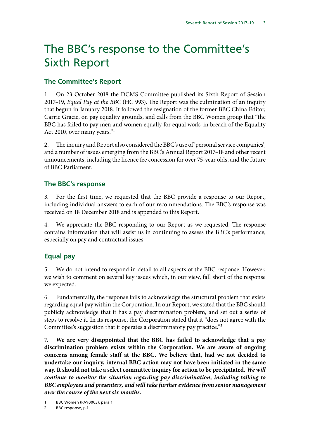# <span id="page-4-0"></span>The BBC's response to the Committee's Sixth Report

### **The Committee's Report**

1. On 23 October 2018 the DCMS Committee published its Sixth Report of Session 2017–19, *Equal Pay at the BBC* (HC 993). The Report was the culmination of an inquiry that begun in January 2018. It followed the resignation of the former BBC China Editor, Carrie Gracie, on pay equality grounds, and calls from the BBC Women group that "the BBC has failed to pay men and women equally for equal work, in breach of the Equality Act 2010, over many years."1

2. The inquiry and Report also considered the BBC's use of 'personal service companies', and a number of issues emerging from the BBC's Annual Report 2017–18 and other recent announcements, including the licence fee concession for over 75-year olds, and the future of BBC Parliament.

#### **The BBC's response**

3. For the first time, we requested that the BBC provide a response to our Report, including individual answers to each of our recommendations. The BBC's response was received on 18 December 2018 and is appended to this Report.

4. We appreciate the BBC responding to our Report as we requested. The response contains information that will assist us in continuing to assess the BBC's performance, especially on pay and contractual issues.

### **Equal pay**

5. We do not intend to respond in detail to all aspects of the BBC response. However, we wish to comment on several key issues which, in our view, fall short of the response we expected.

6. Fundamentally, the response fails to acknowledge the structural problem that exists regarding equal pay within the Corporation. In our Report, we stated that the BBC should publicly acknowledge that it has a pay discrimination problem, and set out a series of steps to resolve it. In its response, the Corporation stated that it "does not agree with the Committee's suggestion that it operates a discriminatory pay practice."2

7. **We are very disappointed that the BBC has failed to acknowledge that a pay discrimination problem exists within the Corporation. We are aware of ongoing concerns among female staff at the BBC. We believe that, had we not decided to undertake our inquiry, internal BBC action may not have been initiated in the same way. It should not take a select committee inquiry for action to be precipitated.** *We will continue to monitor the situation regarding pay discrimination, including talking to BBC employees and presenters, and will take further evidence from senior management over the course of the next six months.*

BBC Women (PAY0003), para 1

<sup>2</sup> BBC response, p.1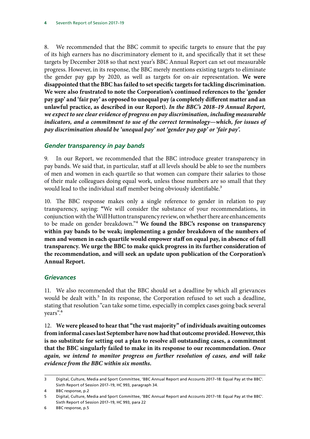<span id="page-5-0"></span>8. We recommended that the BBC commit to specific targets to ensure that the pay of its high earners has no discriminatory element to it, and specifically that it set these targets by December 2018 so that next year's BBC Annual Report can set out measurable progress. However, in its response, the BBC merely mentions existing targets to eliminate the gender pay gap by 2020, as well as targets for on-air representation. **We were disappointed that the BBC has failed to set specific targets for tackling discrimination. We were also frustrated to note the Corporation's continued references to the 'gender pay gap' and 'fair pay' as opposed to unequal pay (a completely different matter and an unlawful practice, as described in our Report).** *In the BBC's 2018–19 Annual Report, we expect to see clear evidence of progress on pay discrimination, including measurable indicators, and a commitment to use of the correct terminology—which, for issues of pay discrimination should be 'unequal pay' not 'gender pay gap' or 'fair pay'.*

### *Gender transparency in pay bands*

9. In our Report, we recommended that the BBC introduce greater transparency in pay bands. We said that, in particular, staff at all levels should be able to see the numbers of men and women in each quartile so that women can compare their salaries to those of their male colleagues doing equal work, unless those numbers are so small that they would lead to the individual staff member being obviously identifiable.<sup>3</sup>

10. The BBC response makes only a single reference to gender in relation to pay transparency, saying: **"**We will consider the substance of your recommendations, in conjunction with the Will Hutton transparency review, on whether there are enhancements to be made on gender breakdown."4 **We found the BBC's response on transparency within pay bands to be weak; implementing a gender breakdown of the numbers of men and women in each quartile would empower staff on equal pay, in absence of full transparency. We urge the BBC to make quick progress in its further consideration of the recommendation, and will seek an update upon publication of the Corporation's Annual Report.**

#### *Grievances*

11. We also recommended that the BBC should set a deadline by which all grievances would be dealt with.<sup>5</sup> In its response, the Corporation refused to set such a deadline, stating that resolution "can take some time, especially in complex cases going back several years".6

12. **We were pleased to hear that "the vast majority" of individuals awaiting outcomes from informal cases last September have now had that outcome provided. However, this is no substitute for setting out a plan to resolve all outstanding cases, a commitment that the BBC singularly failed to make in its response to our recommendation.** *Once again, we intend to monitor progress on further resolution of cases, and will take evidence from the BBC within six months.*

<sup>3</sup> Digital, Culture, Media and Sport Committee, 'BBC Annual Report and Accounts 2017–18: Equal Pay at the BBC'. Sixth Report of Session 2017–19, HC 993, paragraph 34.

<sup>4</sup> BBC response, p.2

<sup>5</sup> Digital, Culture, Media and Sport Committee, 'BBC Annual Report and Accounts 2017–18: Equal Pay at the BBC'. Sixth Report of Session 2017–19, HC 993, para 22

<sup>6</sup> BBC response, p.5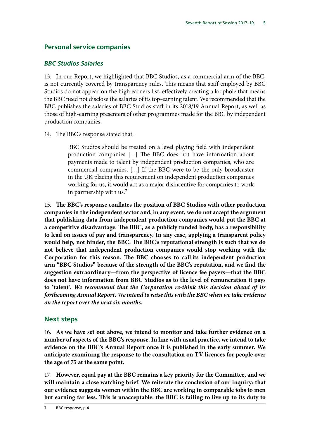## <span id="page-6-0"></span>**Personal service companies**

#### *BBC Studios Salaries*

13. In our Report, we highlighted that BBC Studios, as a commercial arm of the BBC, is not currently covered by transparency rules. This means that staff employed by BBC Studios do not appear on the high earners list, effectively creating a loophole that means the BBC need not disclose the salaries of its top-earning talent. We recommended that the BBC publishes the salaries of BBC Studios staff in its 2018/19 Annual Report, as well as those of high-earning presenters of other programmes made for the BBC by independent production companies.

14. The BBC's response stated that:

BBC Studios should be treated on a level playing field with independent production companies […] The BBC does not have information about payments made to talent by independent production companies, who are commercial companies. […] If the BBC were to be the only broadcaster in the UK placing this requirement on independent production companies working for us, it would act as a major disincentive for companies to work in partnership with us.<sup>7</sup>

15. **The BBC's response conflates the position of BBC Studios with other production companies in the independent sector and, in any event, we do not accept the argument that publishing data from independent production companies would put the BBC at a competitive disadvantage. The BBC, as a publicly funded body, has a responsibility to lead on issues of pay and transparency. In any case, applying a transparent policy would help, not hinder, the BBC. The BBC's reputational strength is such that we do not believe that independent production companies would stop working with the Corporation for this reason. The BBC chooses to call its independent production arm "BBC Studios" because of the strength of the BBC's reputation, and we find the suggestion extraordinary—from the perspective of licence fee payers—that the BBC does not have information from BBC Studios as to the level of remuneration it pays to 'talent'.** *We recommend that the Corporation re-think this decision ahead of its forthcoming Annual Report. We intend to raise this with the BBC when we take evidence on the report over the next six months.*

### **Next steps**

16. **As we have set out above, we intend to monitor and take further evidence on a number of aspects of the BBC's response. In line with usual practice, we intend to take evidence on the BBC's Annual Report once it is published in the early summer. We anticipate examining the response to the consultation on TV licences for people over the age of 75 at the same point.**

17. **However, equal pay at the BBC remains a key priority for the Committee, and we will maintain a close watching brief. We reiterate the conclusion of our inquiry: that our evidence suggests women within the BBC are working in comparable jobs to men but earning far less. This is unacceptable: the BBC is failing to live up to its duty to**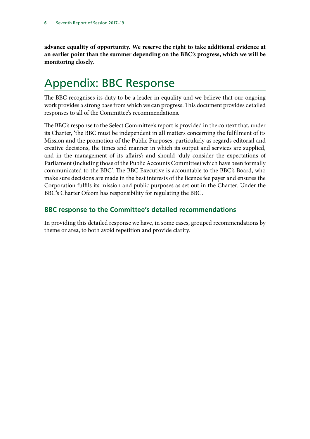<span id="page-7-0"></span>**advance equality of opportunity. We reserve the right to take additional evidence at an earlier point than the summer depending on the BBC's progress, which we will be monitoring closely.**

# Appendix: BBC Response

The BBC recognises its duty to be a leader in equality and we believe that our ongoing work provides a strong base from which we can progress. This document provides detailed responses to all of the Committee's recommendations.

The BBC's response to the Select Committee's report is provided in the context that, under its Charter, 'the BBC must be independent in all matters concerning the fulfilment of its Mission and the promotion of the Public Purposes, particularly as regards editorial and creative decisions, the times and manner in which its output and services are supplied, and in the management of its affairs'; and should 'duly consider the expectations of Parliament (including those of the Public Accounts Committee) which have been formally communicated to the BBC'. The BBC Executive is accountable to the BBC's Board, who make sure decisions are made in the best interests of the licence fee payer and ensures the Corporation fulfils its mission and public purposes as set out in the Charter. Under the BBC's Charter Ofcom has responsibility for regulating the BBC.

### **BBC response to the Committee's detailed recommendations**

In providing this detailed response we have, in some cases, grouped recommendations by theme or area, to both avoid repetition and provide clarity.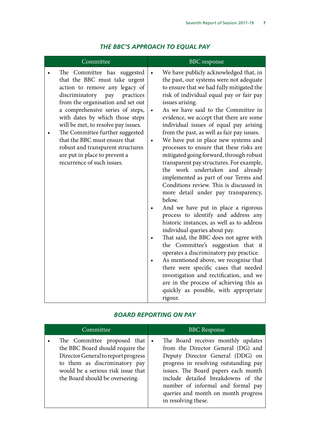<span id="page-8-0"></span>

| Committee                                                                                                                                                                                                                                                                                                                                                                                                                                                       | <b>BBC</b> response                                                                                                                                                                                                                                                                                                                                                                                                                                                                                                                                                                                                                                                                                                                                                                                                                                                                                                                                                                                                                                                                                                                                                                                                                                       |
|-----------------------------------------------------------------------------------------------------------------------------------------------------------------------------------------------------------------------------------------------------------------------------------------------------------------------------------------------------------------------------------------------------------------------------------------------------------------|-----------------------------------------------------------------------------------------------------------------------------------------------------------------------------------------------------------------------------------------------------------------------------------------------------------------------------------------------------------------------------------------------------------------------------------------------------------------------------------------------------------------------------------------------------------------------------------------------------------------------------------------------------------------------------------------------------------------------------------------------------------------------------------------------------------------------------------------------------------------------------------------------------------------------------------------------------------------------------------------------------------------------------------------------------------------------------------------------------------------------------------------------------------------------------------------------------------------------------------------------------------|
| The Committee has suggested<br>that the BBC must take urgent<br>action to remove any legacy of<br>discriminatory<br>practices<br>pay<br>from the organisation and set out<br>a comprehensive series of steps,<br>with dates by which those steps<br>will be met, to resolve pay issues.<br>The Committee further suggested<br>that the BBC must ensure that<br>robust and transparent structures<br>are put in place to prevent a<br>recurrence of such issues. | We have publicly acknowledged that, in<br>the past, our systems were not adequate<br>to ensure that we had fully mitigated the<br>risk of individual equal pay or fair pay<br>issues arising.<br>As we have said to the Committee in<br>evidence, we accept that there are some<br>individual issues of equal pay arising<br>from the past, as well as fair pay issues.<br>We have put in place new systems and<br>$\bullet$<br>processes to ensure that these risks are<br>mitigated going forward, through robust<br>transparent pay structures. For example,<br>the work undertaken and already<br>implemented as part of our Terms and<br>Conditions review. This is discussed in<br>more detail under pay transparency,<br>below.<br>And we have put in place a rigorous<br>process to identify and address any<br>historic instances, as well as to address<br>individual queries about pay.<br>That said, the BBC does not agree with<br>the Committee's suggestion that it<br>operates a discriminatory pay practice.<br>As mentioned above, we recognise that<br>there were specific cases that needed<br>investigation and rectification, and we<br>are in the process of achieving this as<br>quickly as possible, with appropriate<br>rigour. |

# *THE BBC'S APPROACH TO EQUAL PAY*

### *BOARD REPORTING ON PAY*

| Committee                                                                                                                                                                                                        |           | <b>BBC</b> Response                                                                                                                                                                                                                                                                                                                   |
|------------------------------------------------------------------------------------------------------------------------------------------------------------------------------------------------------------------|-----------|---------------------------------------------------------------------------------------------------------------------------------------------------------------------------------------------------------------------------------------------------------------------------------------------------------------------------------------|
| The Committee proposed that<br>the BBC Board should require the<br>Director General to report progress<br>to them as discriminatory pay<br>would be a serious risk issue that<br>the Board should be overseeing. | $\bullet$ | The Board receives monthly updates<br>from the Director General (DG) and<br>Deputy Director General (DDG) on<br>progress in resolving outstanding pay<br>issues. The Board papers each month<br>include detailed breakdowns of the<br>number of informal and formal pay<br>queries and month on month progress<br>in resolving these. |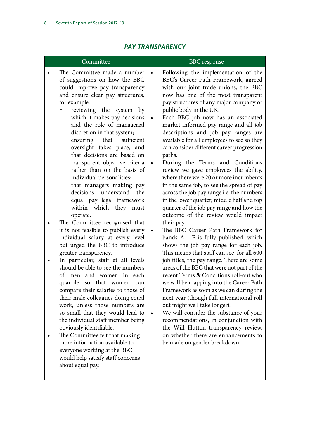<span id="page-9-0"></span>

| Committee                                                                                                                                                                                                                                                                                                                                                                                                                                                                                                                                                                                                                                                                                                                                                                                                                                                                                                                                                                                                                                                                                                                                                                                                                                                                                           | <b>BBC</b> response                                                                                                                                                                                                                                                                                                                                                                                                                                                                                                                                                                                                                                                                                                                                                                                                                                                                                                                                                                                                                                                                                                                                                                                                                                                                                                                                                                                                                                                                                 |
|-----------------------------------------------------------------------------------------------------------------------------------------------------------------------------------------------------------------------------------------------------------------------------------------------------------------------------------------------------------------------------------------------------------------------------------------------------------------------------------------------------------------------------------------------------------------------------------------------------------------------------------------------------------------------------------------------------------------------------------------------------------------------------------------------------------------------------------------------------------------------------------------------------------------------------------------------------------------------------------------------------------------------------------------------------------------------------------------------------------------------------------------------------------------------------------------------------------------------------------------------------------------------------------------------------|-----------------------------------------------------------------------------------------------------------------------------------------------------------------------------------------------------------------------------------------------------------------------------------------------------------------------------------------------------------------------------------------------------------------------------------------------------------------------------------------------------------------------------------------------------------------------------------------------------------------------------------------------------------------------------------------------------------------------------------------------------------------------------------------------------------------------------------------------------------------------------------------------------------------------------------------------------------------------------------------------------------------------------------------------------------------------------------------------------------------------------------------------------------------------------------------------------------------------------------------------------------------------------------------------------------------------------------------------------------------------------------------------------------------------------------------------------------------------------------------------------|
| The Committee made a number<br>of suggestions on how the BBC<br>could improve pay transparency<br>and ensure clear pay structures,<br>for example:<br>reviewing the system by<br>which it makes pay decisions<br>and the role of managerial<br>discretion in that system;<br>that<br>sufficient<br>ensuring<br>oversight takes place, and<br>that decisions are based on<br>transparent, objective criteria<br>rather than on the basis of<br>individual personalities;<br>that managers making pay<br>decisions<br>understand<br>the<br>equal pay legal framework<br>within which they must<br>operate.<br>The Committee recognised that<br>it is not feasible to publish every<br>individual salary at every level<br>but urged the BBC to introduce<br>greater transparency.<br>In particular, staff at all levels<br>should be able to see the numbers<br>of men and women in each<br>quartile so that women<br>can<br>compare their salaries to those of<br>their male colleagues doing equal<br>work, unless those numbers are<br>so small that they would lead to<br>the individual staff member being<br>obviously identifiable.<br>The Committee felt that making<br>more information available to<br>everyone working at the BBC<br>would help satisfy staff concerns<br>about equal pay. | Following the implementation of the<br>BBC's Career Path Framework, agreed<br>with our joint trade unions, the BBC<br>now has one of the most transparent<br>pay structures of any major company or<br>public body in the UK.<br>Each BBC job now has an associated<br>market informed pay range and all job<br>descriptions and job pay ranges are<br>available for all employees to see so they<br>can consider different career progression<br>paths.<br>During the Terms and Conditions<br>review we gave employees the ability,<br>where there were 20 or more incumbents<br>in the same job, to see the spread of pay<br>across the job pay range i.e. the numbers<br>in the lower quarter, middle half and top<br>quarter of the job pay range and how the<br>outcome of the review would impact<br>their pay.<br>The BBC Career Path Framework for<br>bands A - F is fully published, which<br>shows the job pay range for each job.<br>This means that staff can see, for all 600<br>job titles, the pay range. There are some<br>areas of the BBC that were not part of the<br>recent Terms & Conditions roll-out who<br>we will be mapping into the Career Path<br>Framework as soon as we can during the<br>next year (though full international roll<br>out might well take longer).<br>We will consider the substance of your<br>recommendations, in conjunction with<br>the Will Hutton transparency review,<br>on whether there are enhancements to<br>be made on gender breakdown. |

### *PAY TRANSPARENCY*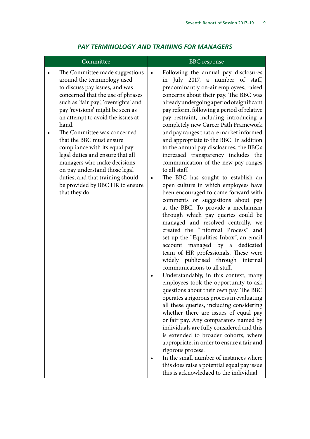<span id="page-10-0"></span>

| Committee                                                                                                                                                                                                                                                                                                                                                                                                                                                                                                                                              | <b>BBC</b> response                                                                                                                                                                                                                                                                                                                                                                                                                                                                                                                                                                                                                                                                                                                                                                                                                                                                                                                                                                                                                                                                                                                                                                                                                                                                                                                                                                                                                                                                                                                                                                                                                                                                                               |
|--------------------------------------------------------------------------------------------------------------------------------------------------------------------------------------------------------------------------------------------------------------------------------------------------------------------------------------------------------------------------------------------------------------------------------------------------------------------------------------------------------------------------------------------------------|-------------------------------------------------------------------------------------------------------------------------------------------------------------------------------------------------------------------------------------------------------------------------------------------------------------------------------------------------------------------------------------------------------------------------------------------------------------------------------------------------------------------------------------------------------------------------------------------------------------------------------------------------------------------------------------------------------------------------------------------------------------------------------------------------------------------------------------------------------------------------------------------------------------------------------------------------------------------------------------------------------------------------------------------------------------------------------------------------------------------------------------------------------------------------------------------------------------------------------------------------------------------------------------------------------------------------------------------------------------------------------------------------------------------------------------------------------------------------------------------------------------------------------------------------------------------------------------------------------------------------------------------------------------------------------------------------------------------|
| The Committee made suggestions<br>around the terminology used<br>to discuss pay issues, and was<br>concerned that the use of phrases<br>such as 'fair pay', 'oversights' and<br>pay 'revisions' might be seen as<br>an attempt to avoid the issues at<br>hand.<br>The Committee was concerned<br>that the BBC must ensure<br>compliance with its equal pay<br>legal duties and ensure that all<br>managers who make decisions<br>on pay understand those legal<br>duties, and that training should<br>be provided by BBC HR to ensure<br>that they do. | Following the annual pay disclosures<br>$\bullet$<br>in July 2017, a number of staff,<br>predominantly on-air employees, raised<br>concerns about their pay. The BBC was<br>alreadyundergoingaperiodofsignificant<br>pay reform, following a period of relative<br>pay restraint, including introducing a<br>completely new Career Path Framework<br>and pay ranges that are market informed<br>and appropriate to the BBC. In addition<br>to the annual pay disclosures, the BBC's<br>increased transparency includes the<br>communication of the new pay ranges<br>to all staff.<br>The BBC has sought to establish an<br>$\bullet$<br>open culture in which employees have<br>been encouraged to come forward with<br>comments or suggestions about pay<br>at the BBC. To provide a mechanism<br>through which pay queries could be<br>managed and resolved centrally, we<br>created the "Informal Process" and<br>set up the "Equalities Inbox", an email<br>account managed by a dedicated<br>team of HR professionals. These were<br>widely publicised through internal<br>communications to all staff.<br>Understandably, in this context, many<br>employees took the opportunity to ask<br>questions about their own pay. The BBC<br>operates a rigorous process in evaluating<br>all these queries, including considering<br>whether there are issues of equal pay<br>or fair pay. Any comparators named by<br>individuals are fully considered and this<br>is extended to broader cohorts, where<br>appropriate, in order to ensure a fair and<br>rigorous process.<br>In the small number of instances where<br>this does raise a potential equal pay issue<br>this is acknowledged to the individual. |

### *PAY TERMINOLOGY AND TRAINING FOR MANAGERS*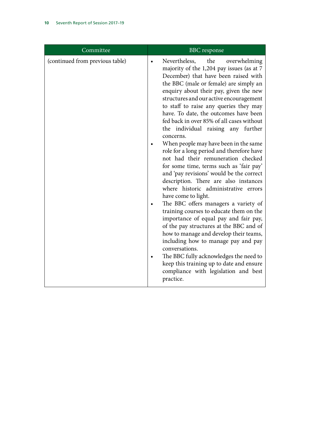| Committee                       | <b>BBC</b> response                                                                                                                                                                                                                                                                                                                                                                                                                                                                                                                                                                                                                                                                                                                                                                                                                                                                                                                                                                                                                                                                                                                                                                      |
|---------------------------------|------------------------------------------------------------------------------------------------------------------------------------------------------------------------------------------------------------------------------------------------------------------------------------------------------------------------------------------------------------------------------------------------------------------------------------------------------------------------------------------------------------------------------------------------------------------------------------------------------------------------------------------------------------------------------------------------------------------------------------------------------------------------------------------------------------------------------------------------------------------------------------------------------------------------------------------------------------------------------------------------------------------------------------------------------------------------------------------------------------------------------------------------------------------------------------------|
| (continued from previous table) | Nevertheless, the<br>overwhelming<br>majority of the 1,204 pay issues (as at 7<br>December) that have been raised with<br>the BBC (male or female) are simply an<br>enquiry about their pay, given the new<br>structures and our active encouragement<br>to staff to raise any queries they may<br>have. To date, the outcomes have been<br>fed back in over 85% of all cases without<br>the individual raising any further<br>concerns.<br>When people may have been in the same<br>role for a long period and therefore have<br>not had their remuneration checked<br>for some time, terms such as 'fair pay'<br>and 'pay revisions' would be the correct<br>description. There are also instances<br>where historic administrative errors<br>have come to light.<br>The BBC offers managers a variety of<br>training courses to educate them on the<br>importance of equal pay and fair pay,<br>of the pay structures at the BBC and of<br>how to manage and develop their teams,<br>including how to manage pay and pay<br>conversations.<br>The BBC fully acknowledges the need to<br>keep this training up to date and ensure<br>compliance with legislation and best<br>practice. |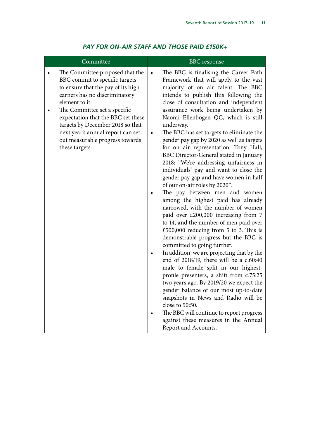<span id="page-12-0"></span>

| Committee                                                                                                                                                                                                                                                                                                                                                      | <b>BBC</b> response                                                                                                                                                                                                                                                                                                                                                                                                                                                                                                                                                                                                                                                                                                                                                                                                                                                                                                                                                                                                                                                                                                                                                                                                                                                                                                                                                                                           |
|----------------------------------------------------------------------------------------------------------------------------------------------------------------------------------------------------------------------------------------------------------------------------------------------------------------------------------------------------------------|---------------------------------------------------------------------------------------------------------------------------------------------------------------------------------------------------------------------------------------------------------------------------------------------------------------------------------------------------------------------------------------------------------------------------------------------------------------------------------------------------------------------------------------------------------------------------------------------------------------------------------------------------------------------------------------------------------------------------------------------------------------------------------------------------------------------------------------------------------------------------------------------------------------------------------------------------------------------------------------------------------------------------------------------------------------------------------------------------------------------------------------------------------------------------------------------------------------------------------------------------------------------------------------------------------------------------------------------------------------------------------------------------------------|
| The Committee proposed that the<br>BBC commit to specific targets<br>to ensure that the pay of its high<br>earners has no discriminatory<br>element to it.<br>The Committee set a specific<br>expectation that the BBC set these<br>targets by December 2018 so that<br>next year's annual report can set<br>out measurable progress towards<br>these targets. | The BBC is finalising the Career Path<br>$\bullet$<br>Framework that will apply to the vast<br>majority of on air talent. The BBC<br>intends to publish this following the<br>close of consultation and independent<br>assurance work being undertaken by<br>Naomi Ellenbogen QC, which is still<br>underway.<br>The BBC has set targets to eliminate the<br>gender pay gap by 2020 as well as targets<br>for on air representation. Tony Hall,<br>BBC Director-General stated in January<br>2018: "We're addressing unfairness in<br>individuals' pay and want to close the<br>gender pay gap and have women in half<br>of our on-air roles by 2020".<br>The pay between men and women<br>among the highest paid has already<br>narrowed, with the number of women<br>paid over £200,000 increasing from 7<br>to 14, and the number of men paid over<br>£500,000 reducing from 5 to 3. This is<br>demonstrable progress but the BBC is<br>committed to going further.<br>In addition, we are projecting that by the<br>end of 2018/19, there will be a c.60:40<br>male to female split in our highest-<br>profile presenters, a shift from c.75:25<br>two years ago. By 2019/20 we expect the<br>gender balance of our most up-to-date<br>snapshots in News and Radio will be<br>close to 50:50.<br>The BBC will continue to report progress<br>against these measures in the Annual<br>Report and Accounts. |

## *PAY FOR ON-AIR STAFF AND THOSE PAID £150K+*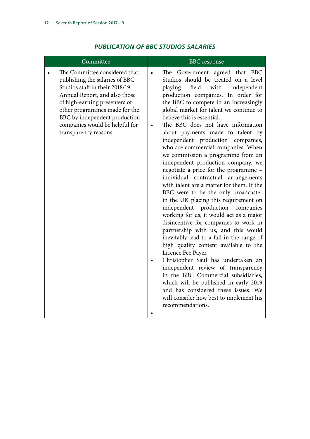<span id="page-13-0"></span>

| Committee                                                                                                                                                                                                                                                                                        | <b>BBC</b> response                                                                                                                                                                                                                                                                                                                                                                                                                                                                                                                                                                                                                                                                                                                                                                                                                                                                                                                                                                                                                                                                                                                                                                                                                                                   |
|--------------------------------------------------------------------------------------------------------------------------------------------------------------------------------------------------------------------------------------------------------------------------------------------------|-----------------------------------------------------------------------------------------------------------------------------------------------------------------------------------------------------------------------------------------------------------------------------------------------------------------------------------------------------------------------------------------------------------------------------------------------------------------------------------------------------------------------------------------------------------------------------------------------------------------------------------------------------------------------------------------------------------------------------------------------------------------------------------------------------------------------------------------------------------------------------------------------------------------------------------------------------------------------------------------------------------------------------------------------------------------------------------------------------------------------------------------------------------------------------------------------------------------------------------------------------------------------|
| The Committee considered that<br>publishing the salaries of BBC<br>Studios staff in their 2018/19<br>Annual Report, and also those<br>of high-earning presenters of<br>other programmes made for the<br>BBC by independent production<br>companies would be helpful for<br>transparency reasons. | The Government agreed that BBC<br>Studios should be treated on a level<br>field<br>playing<br>with<br>independent<br>production companies. In order for<br>the BBC to compete in an increasingly<br>global market for talent we continue to<br>believe this is essential.<br>The BBC does not have information<br>about payments made to talent by<br>independent production companies,<br>who are commercial companies. When<br>we commission a programme from an<br>independent production company, we<br>negotiate a price for the programme -<br>individual contractual arrangements<br>with talent are a matter for them. If the<br>BBC were to be the only broadcaster<br>in the UK placing this requirement on<br>independent production<br>companies<br>working for us, it would act as a major<br>disincentive for companies to work in<br>partnership with us, and this would<br>inevitably lead to a fall in the range of<br>high quality content available to the<br>Licence Fee Payer.<br>Christopher Saul has undertaken an<br>independent review of transparency<br>in the BBC Commercial subsidiaries,<br>which will be published in early 2019<br>and has considered these issues. We<br>will consider how best to implement his<br>recommendations. |

# *PUBLICATION OF BBC STUDIOS SALARIES*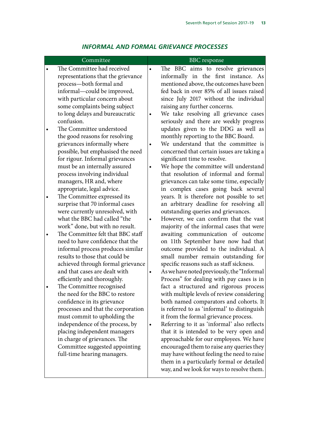<span id="page-14-0"></span>

## *INFORMAL AND FORMAL GRIEVANCE PROCESSES*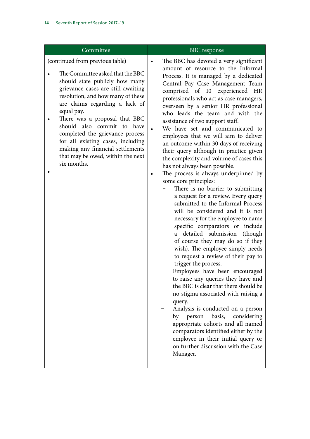| Committee                                                                                                                                                                                                                                                                                                                                                                                                                                                       | <b>BBC</b> response                                                                                                                                                                                                                                                                                                                                                                                                                                                                                                                                                                                                                                                                                                                                                                                                                                                                                                                                                                                                                                                                                                                                                                                                                                                                                                                                                                                                                                                                                       |
|-----------------------------------------------------------------------------------------------------------------------------------------------------------------------------------------------------------------------------------------------------------------------------------------------------------------------------------------------------------------------------------------------------------------------------------------------------------------|-----------------------------------------------------------------------------------------------------------------------------------------------------------------------------------------------------------------------------------------------------------------------------------------------------------------------------------------------------------------------------------------------------------------------------------------------------------------------------------------------------------------------------------------------------------------------------------------------------------------------------------------------------------------------------------------------------------------------------------------------------------------------------------------------------------------------------------------------------------------------------------------------------------------------------------------------------------------------------------------------------------------------------------------------------------------------------------------------------------------------------------------------------------------------------------------------------------------------------------------------------------------------------------------------------------------------------------------------------------------------------------------------------------------------------------------------------------------------------------------------------------|
| (continued from previous table)<br>The Committee asked that the BBC<br>should state publicly how many<br>grievance cases are still awaiting<br>resolution, and how many of these<br>are claims regarding a lack of<br>equal pay.<br>There was a proposal that BBC<br>should also commit to have<br>completed the grievance process<br>for all existing cases, including<br>making any financial settlements<br>that may be owed, within the next<br>six months. | The BBC has devoted a very significant<br>$\bullet$<br>amount of resource to the Informal<br>Process. It is managed by a dedicated<br>Central Pay Case Management Team<br>comprised of 10 experienced HR<br>professionals who act as case managers,<br>overseen by a senior HR professional<br>who leads the team and with the<br>assistance of two support staff.<br>We have set and communicated to<br>employees that we will aim to deliver<br>an outcome within 30 days of receiving<br>their query although in practice given<br>the complexity and volume of cases this<br>has not always been possible.<br>The process is always underpinned by<br>some core principles:<br>There is no barrier to submitting<br>a request for a review. Every query<br>submitted to the Informal Process<br>will be considered and it is not<br>necessary for the employee to name<br>specific comparators or include<br>detailed submission (though<br>of course they may do so if they<br>wish). The employee simply needs<br>to request a review of their pay to<br>trigger the process.<br>Employees have been encouraged<br>to raise any queries they have and<br>the BBC is clear that there should be<br>no stigma associated with raising a<br>query.<br>Analysis is conducted on a person<br>basis,<br>considering<br>person<br>by<br>appropriate cohorts and all named<br>comparators identified either by the<br>employee in their initial query or<br>on further discussion with the Case<br>Manager. |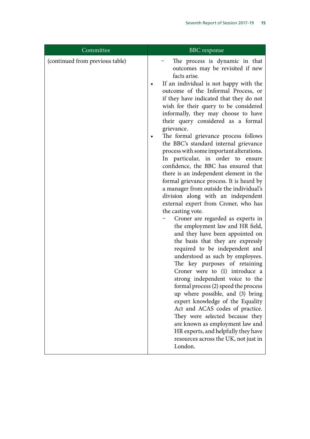| Committee                       | <b>BBC</b> response                                                                                                                                                                                                                                                                                                                                                                                                                                                                                                                                                                                                                                                                                                                                                                                                                                                                                                                                                                                                                                                                                                                                                                                                                                                                                                                                                                                                                              |
|---------------------------------|--------------------------------------------------------------------------------------------------------------------------------------------------------------------------------------------------------------------------------------------------------------------------------------------------------------------------------------------------------------------------------------------------------------------------------------------------------------------------------------------------------------------------------------------------------------------------------------------------------------------------------------------------------------------------------------------------------------------------------------------------------------------------------------------------------------------------------------------------------------------------------------------------------------------------------------------------------------------------------------------------------------------------------------------------------------------------------------------------------------------------------------------------------------------------------------------------------------------------------------------------------------------------------------------------------------------------------------------------------------------------------------------------------------------------------------------------|
| (continued from previous table) | The process is dynamic in that<br>outcomes may be revisited if new<br>facts arise.<br>If an individual is not happy with the<br>outcome of the Informal Process, or<br>if they have indicated that they do not<br>wish for their query to be considered<br>informally, they may choose to have<br>their query considered as a formal<br>grievance.<br>The formal grievance process follows<br>the BBC's standard internal grievance<br>process with some important alterations.<br>In particular, in order to ensure<br>confidence, the BBC has ensured that<br>there is an independent element in the<br>formal grievance process. It is heard by<br>a manager from outside the individual's<br>division along with an independent<br>external expert from Croner, who has<br>the casting vote.<br>Croner are regarded as experts in<br>the employment law and HR field,<br>and they have been appointed on<br>the basis that they are expressly<br>required to be independent and<br>understood as such by employees.<br>The key purposes of retaining<br>Croner were to (1) introduce a<br>strong independent voice to the<br>formal process (2) speed the process<br>up where possible, and (3) bring<br>expert knowledge of the Equality<br>Act and ACAS codes of practice.<br>They were selected because they<br>are known as employment law and<br>HR experts, and helpfully they have<br>resources across the UK, not just in<br>London. |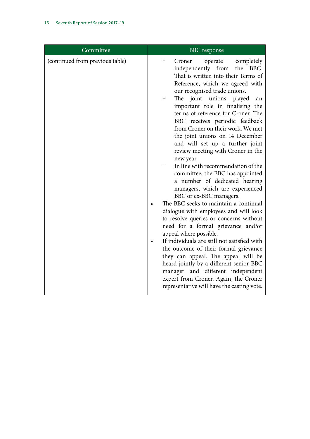| Committee                       | <b>BBC</b> response                                                                                                                                                                                                                                                                                                                                                                                                                                                                                                                                                                                                                                                                                                                                                                                                                                                                                                                                                                                                                                                                                                                                                       |
|---------------------------------|---------------------------------------------------------------------------------------------------------------------------------------------------------------------------------------------------------------------------------------------------------------------------------------------------------------------------------------------------------------------------------------------------------------------------------------------------------------------------------------------------------------------------------------------------------------------------------------------------------------------------------------------------------------------------------------------------------------------------------------------------------------------------------------------------------------------------------------------------------------------------------------------------------------------------------------------------------------------------------------------------------------------------------------------------------------------------------------------------------------------------------------------------------------------------|
| (continued from previous table) | completely<br>Croner<br>operate<br>the BBC.<br>independently from<br>That is written into their Terms of<br>Reference, which we agreed with<br>our recognised trade unions.<br>The<br>joint<br>unions<br>played<br>an<br>important role in finalising the<br>terms of reference for Croner. The<br>BBC receives periodic feedback<br>from Croner on their work. We met<br>the joint unions on 14 December<br>and will set up a further joint<br>review meeting with Croner in the<br>new year.<br>In line with recommendation of the<br>committee, the BBC has appointed<br>a number of dedicated hearing<br>managers, which are experienced<br>BBC or ex-BBC managers.<br>The BBC seeks to maintain a continual<br>dialogue with employees and will look<br>to resolve queries or concerns without<br>need for a formal grievance and/or<br>appeal where possible.<br>If individuals are still not satisfied with<br>the outcome of their formal grievance<br>they can appeal. The appeal will be<br>heard jointly by a different senior BBC<br>manager and different independent<br>expert from Croner. Again, the Croner<br>representative will have the casting vote. |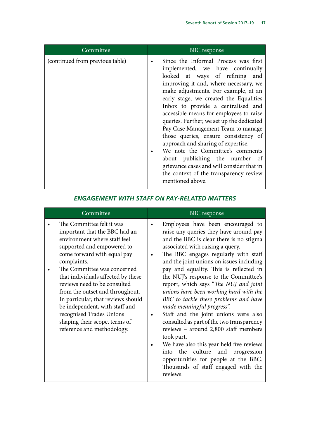<span id="page-18-0"></span>

| Committee                       | <b>BBC</b> response                                                                                                                                                                                                                                                                                                                                                                                                                                                                                                                                                                                                                                                                      |
|---------------------------------|------------------------------------------------------------------------------------------------------------------------------------------------------------------------------------------------------------------------------------------------------------------------------------------------------------------------------------------------------------------------------------------------------------------------------------------------------------------------------------------------------------------------------------------------------------------------------------------------------------------------------------------------------------------------------------------|
| (continued from previous table) | Since the Informal Process was first<br>$\bullet$<br>implemented, we have continually<br>looked at ways of refining<br>and<br>improving it and, where necessary, we<br>make adjustments. For example, at an<br>early stage, we created the Equalities<br>Inbox to provide a centralised and<br>accessible means for employees to raise<br>queries. Further, we set up the dedicated<br>Pay Case Management Team to manage<br>those queries, ensure consistency of<br>approach and sharing of expertise.<br>We note the Committee's comments<br>about publishing the number of<br>grievance cases and will consider that in<br>the context of the transparency review<br>mentioned above. |

# *ENGAGEMENT WITH STAFF ON PAY-RELATED MATTERS*

| Committee                                                                                                                                                                                                                                                                                                                                                                                                                                                                         | <b>BBC</b> response                                                                                                                                                                                                                                                                                                                                                                                                                                                                                                                                                                                                                                                                                                                                                                                                                                    |
|-----------------------------------------------------------------------------------------------------------------------------------------------------------------------------------------------------------------------------------------------------------------------------------------------------------------------------------------------------------------------------------------------------------------------------------------------------------------------------------|--------------------------------------------------------------------------------------------------------------------------------------------------------------------------------------------------------------------------------------------------------------------------------------------------------------------------------------------------------------------------------------------------------------------------------------------------------------------------------------------------------------------------------------------------------------------------------------------------------------------------------------------------------------------------------------------------------------------------------------------------------------------------------------------------------------------------------------------------------|
| The Committee felt it was<br>important that the BBC had an<br>environment where staff feel<br>supported and empowered to<br>come forward with equal pay<br>complaints.<br>The Committee was concerned<br>that individuals affected by these<br>reviews need to be consulted<br>from the outset and throughout.<br>In particular, that reviews should<br>be independent, with staff and<br>recognised Trades Unions<br>shaping their scope, terms of<br>reference and methodology. | Employees have been encouraged to<br>$\bullet$<br>raise any queries they have around pay<br>and the BBC is clear there is no stigma<br>associated with raising a query.<br>The BBC engages regularly with staff<br>٠<br>and the joint unions on issues including<br>pay and equality. This is reflected in<br>the NUJ's response to the Committee's<br>report, which says "The NUJ and joint<br>unions have been working hard with the<br>BBC to tackle these problems and have<br>made meaningful progress".<br>Staff and the joint unions were also<br>consulted as part of the two transparency<br>reviews - around 2,800 staff members<br>took part.<br>We have also this year held five reviews<br>$\bullet$<br>the culture<br>and progression<br>into<br>opportunities for people at the BBC.<br>Thousands of staff engaged with the<br>reviews. |
|                                                                                                                                                                                                                                                                                                                                                                                                                                                                                   |                                                                                                                                                                                                                                                                                                                                                                                                                                                                                                                                                                                                                                                                                                                                                                                                                                                        |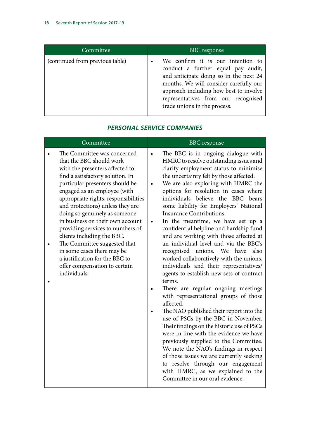<span id="page-19-0"></span>

| Committee                       | <b>BBC</b> response                                                                                                                                                                                                                                                          |
|---------------------------------|------------------------------------------------------------------------------------------------------------------------------------------------------------------------------------------------------------------------------------------------------------------------------|
| (continued from previous table) | We confirm it is our intention to<br>conduct a further equal pay audit,<br>and anticipate doing so in the next 24<br>months. We will consider carefully our<br>approach including how best to involve<br>representatives from our recognised<br>trade unions in the process. |

## *PERSONAL SERVICE COMPANIES*

| Committee                                                                                                                                                                                                                                                                                                                                                                                                                                                                                                                                                             | <b>BBC</b> response                                                                                                                                                                                                                                                                                                                                                                                                                                                                                                                                                                                                                                                                                                                                                                                                                                                                                                                                                                                                                                                                                                                                                                                                                                                             |
|-----------------------------------------------------------------------------------------------------------------------------------------------------------------------------------------------------------------------------------------------------------------------------------------------------------------------------------------------------------------------------------------------------------------------------------------------------------------------------------------------------------------------------------------------------------------------|---------------------------------------------------------------------------------------------------------------------------------------------------------------------------------------------------------------------------------------------------------------------------------------------------------------------------------------------------------------------------------------------------------------------------------------------------------------------------------------------------------------------------------------------------------------------------------------------------------------------------------------------------------------------------------------------------------------------------------------------------------------------------------------------------------------------------------------------------------------------------------------------------------------------------------------------------------------------------------------------------------------------------------------------------------------------------------------------------------------------------------------------------------------------------------------------------------------------------------------------------------------------------------|
| The Committee was concerned<br>that the BBC should work<br>with the presenters affected to<br>find a satisfactory solution. In<br>particular presenters should be<br>engaged as an employee (with<br>appropriate rights, responsibilities<br>and protections) unless they are<br>doing so genuinely as someone<br>in business on their own account<br>providing services to numbers of<br>clients including the BBC.<br>The Committee suggested that<br>in some cases there may be<br>a justification for the BBC to<br>offer compensation to certain<br>individuals. | The BBC is in ongoing dialogue with<br>$\bullet$<br>HMRC to resolve outstanding issues and<br>clarify employment status to minimise<br>the uncertainty felt by those affected.<br>We are also exploring with HMRC the<br>$\bullet$<br>options for resolution in cases where<br>individuals believe the BBC bears<br>some liability for Employers' National<br><b>Insurance Contributions.</b><br>In the meantime, we have set up a<br>$\bullet$<br>confidential helpline and hardship fund<br>and are working with those affected at<br>an individual level and via the BBC's<br>recognised unions. We have<br>also<br>worked collaboratively with the unions,<br>individuals and their representatives/<br>agents to establish new sets of contract<br>terms.<br>There are regular ongoing meetings<br>with representational groups of those<br>affected.<br>The NAO published their report into the<br>use of PSCs by the BBC in November.<br>Their findings on the historic use of PSCs<br>were in line with the evidence we have<br>previously supplied to the Committee.<br>We note the NAO's findings in respect<br>of those issues we are currently seeking<br>to resolve through our engagement<br>with HMRC, as we explained to the<br>Committee in our oral evidence. |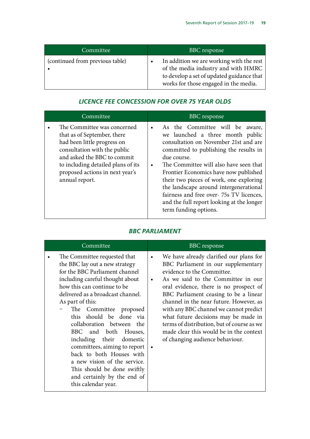<span id="page-20-0"></span>

| Committee                       | <b>BBC</b> response                                                                                                                                                                |
|---------------------------------|------------------------------------------------------------------------------------------------------------------------------------------------------------------------------------|
| (continued from previous table) | In addition we are working with the rest<br>$\bullet$<br>of the media industry and with HMRC<br>to develop a set of updated guidance that<br>works for those engaged in the media. |

# *LICENCE FEE CONCESSION FOR OVER 75 YEAR OLDS*

| Committee                                                                                                                                                                                                                                           | <b>BBC</b> response                                                                                                                                                                                                                                                                                                                                                                                                                                                                         |
|-----------------------------------------------------------------------------------------------------------------------------------------------------------------------------------------------------------------------------------------------------|---------------------------------------------------------------------------------------------------------------------------------------------------------------------------------------------------------------------------------------------------------------------------------------------------------------------------------------------------------------------------------------------------------------------------------------------------------------------------------------------|
| The Committee was concerned<br>that as of September, there<br>had been little progress on<br>consultation with the public<br>and asked the BBC to commit<br>to including detailed plans of its<br>proposed actions in next year's<br>annual report. | As the Committee will be<br>aware,<br>$\bullet$<br>we launched a three month public<br>consultation on November 21st and are<br>committed to publishing the results in<br>due course.<br>The Committee will also have seen that<br>$\bullet$<br>Frontier Economics have now published<br>their two pieces of work, one exploring<br>the landscape around intergenerational<br>fairness and free over-75s TV licences,<br>and the full report looking at the longer<br>term funding options. |

# *BBC PARLIAMENT*

| Committee                                                                                                                                                                                                                                                                                                                                                                                                                                                                                                                                             | <b>BBC</b> response                                                                                                                                                                                                                                                                                                                                                                                                                                                                                                                   |
|-------------------------------------------------------------------------------------------------------------------------------------------------------------------------------------------------------------------------------------------------------------------------------------------------------------------------------------------------------------------------------------------------------------------------------------------------------------------------------------------------------------------------------------------------------|---------------------------------------------------------------------------------------------------------------------------------------------------------------------------------------------------------------------------------------------------------------------------------------------------------------------------------------------------------------------------------------------------------------------------------------------------------------------------------------------------------------------------------------|
| The Committee requested that<br>the BBC lay out a new strategy<br>for the BBC Parliament channel<br>including careful thought about<br>how this can continue to be<br>delivered as a broadcast channel.<br>As part of this:<br>The Committee<br>proposed<br>this should be done via<br>collaboration between the<br>BBC and both Houses,<br>including their domestic<br>committees, aiming to report<br>back to both Houses with<br>a new vision of the service.<br>This should be done swiftly<br>and certainly by the end of<br>this calendar year. | We have already clarified our plans for<br>$\bullet$<br>BBC Parliament in our supplementary<br>evidence to the Committee.<br>As we said to the Committee in our<br>$\bullet$<br>oral evidence, there is no prospect of<br>BBC Parliament ceasing to be a linear<br>channel in the near future. However, as<br>with any BBC channel we cannot predict<br>what future decisions may be made in<br>terms of distribution, but of course as we<br>made clear this would be in the context<br>of changing audience behaviour.<br>$\bullet$ |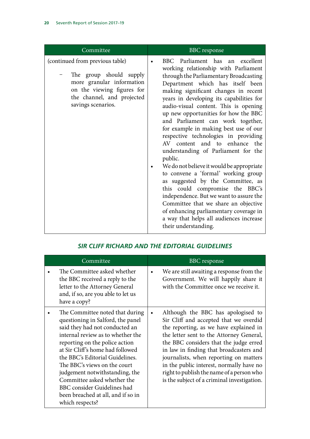<span id="page-21-0"></span>

| Committee                                                                                                                                                                 | <b>BBC</b> response                                                                                                                                                                                                                                                                                                                                                                                                                                                                                                                                                                                                                                                                                                                                                                                                                                                                             |
|---------------------------------------------------------------------------------------------------------------------------------------------------------------------------|-------------------------------------------------------------------------------------------------------------------------------------------------------------------------------------------------------------------------------------------------------------------------------------------------------------------------------------------------------------------------------------------------------------------------------------------------------------------------------------------------------------------------------------------------------------------------------------------------------------------------------------------------------------------------------------------------------------------------------------------------------------------------------------------------------------------------------------------------------------------------------------------------|
| (continued from previous table)<br>The group should supply<br>more granular information<br>on the viewing figures for<br>the channel, and projected<br>savings scenarios. | BBC Parliament has an excellent<br>working relationship with Parliament<br>through the Parliamentary Broadcasting<br>Department which has itself been<br>making significant changes in recent<br>years in developing its capabilities for<br>audio-visual content. This is opening<br>up new opportunities for how the BBC<br>and Parliament can work together,<br>for example in making best use of our<br>respective technologies in providing<br>AV content and to enhance the<br>understanding of Parliament for the<br>public.<br>We do not believe it would be appropriate<br>to convene a 'formal' working group<br>as suggested by the Committee, as<br>this could compromise the BBC's<br>independence. But we want to assure the<br>Committee that we share an objective<br>of enhancing parliamentary coverage in<br>a way that helps all audiences increase<br>their understanding. |

| Committee                                                                                                                                                                                                                                                                                                                                                                                                                                     | <b>BBC</b> response                                                                                                                                                                                                                                                                                                                                                                                                                                    |
|-----------------------------------------------------------------------------------------------------------------------------------------------------------------------------------------------------------------------------------------------------------------------------------------------------------------------------------------------------------------------------------------------------------------------------------------------|--------------------------------------------------------------------------------------------------------------------------------------------------------------------------------------------------------------------------------------------------------------------------------------------------------------------------------------------------------------------------------------------------------------------------------------------------------|
| The Committee asked whether<br>the BBC received a reply to the<br>letter to the Attorney General<br>and, if so, are you able to let us<br>have a copy?                                                                                                                                                                                                                                                                                        | We are still awaiting a response from the<br>$\bullet$<br>Government. We will happily share it<br>with the Committee once we receive it.                                                                                                                                                                                                                                                                                                               |
| The Committee noted that during<br>questioning in Salford, the panel<br>said they had not conducted an<br>internal review as to whether the<br>reporting on the police action<br>at Sir Cliff's home had followed<br>the BBC's Editorial Guidelines.<br>The BBC's views on the court<br>judgement notwithstanding, the<br>Committee asked whether the<br>BBC consider Guidelines had<br>been breached at all, and if so in<br>which respects? | Although the BBC has apologised to<br>$\bullet$<br>Sir Cliff and accepted that we overdid<br>the reporting, as we have explained in<br>the letter sent to the Attorney General,<br>the BBC considers that the judge erred<br>in law in finding that broadcasters and<br>journalists, when reporting on matters<br>in the public interest, normally have no<br>right to publish the name of a person who<br>is the subject of a criminal investigation. |

### *SIR CLIFF RICHARD AND THE EDITORIAL GUIDELINES*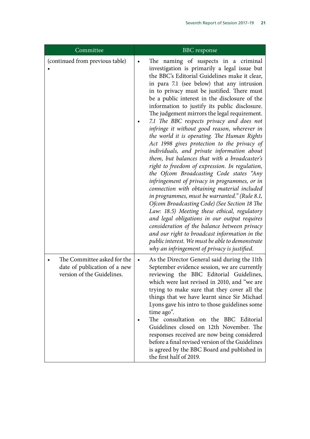| Committee                                                                                 | <b>BBC</b> response                                                                                                                                                                                                                                                                                                                                                                                                                                                                                                                                                                                                                                                                                                                                                                                                                                                                                                                                                                                                                                                                                                                                                                                                                                                            |
|-------------------------------------------------------------------------------------------|--------------------------------------------------------------------------------------------------------------------------------------------------------------------------------------------------------------------------------------------------------------------------------------------------------------------------------------------------------------------------------------------------------------------------------------------------------------------------------------------------------------------------------------------------------------------------------------------------------------------------------------------------------------------------------------------------------------------------------------------------------------------------------------------------------------------------------------------------------------------------------------------------------------------------------------------------------------------------------------------------------------------------------------------------------------------------------------------------------------------------------------------------------------------------------------------------------------------------------------------------------------------------------|
| (continued from previous table)                                                           | The naming of suspects in a criminal<br>investigation is primarily a legal issue but<br>the BBC's Editorial Guidelines make it clear,<br>in para 7.1 (see below) that any intrusion<br>in to privacy must be justified. There must<br>be a public interest in the disclosure of the<br>information to justify its public disclosure.<br>The judgement mirrors the legal requirement.<br>7.1 The BBC respects privacy and does not<br>infringe it without good reason, wherever in<br>the world it is operating. The Human Rights<br>Act 1998 gives protection to the privacy of<br>individuals, and private information about<br>them, but balances that with a broadcaster's<br>right to freedom of expression. In regulation,<br>the Ofcom Broadcasting Code states "Any<br>infringement of privacy in programmes, or in<br>connection with obtaining material included<br>in programmes, must be warranted." (Rule 8.1,<br>Ofcom Broadcasting Code) (See Section 18 The<br>Law: 18.5) Meeting these ethical, regulatory<br>and legal obligations in our output requires<br>consideration of the balance between privacy<br>and our right to broadcast information in the<br>public interest. We must be able to demonstrate<br>why an infringement of privacy is justified. |
| The Committee asked for the<br>date of publication of a new<br>version of the Guidelines. | As the Director General said during the 11th<br>$\bullet$<br>September evidence session, we are currently<br>reviewing the BBC Editorial Guidelines,<br>which were last revised in 2010, and "we are<br>trying to make sure that they cover all the<br>things that we have learnt since Sir Michael<br>Lyons gave his intro to those guidelines some<br>time ago".<br>The consultation on the BBC Editorial<br>Guidelines closed on 12th November. The<br>responses received are now being considered<br>before a final revised version of the Guidelines<br>is agreed by the BBC Board and published in<br>the first half of 2019.                                                                                                                                                                                                                                                                                                                                                                                                                                                                                                                                                                                                                                            |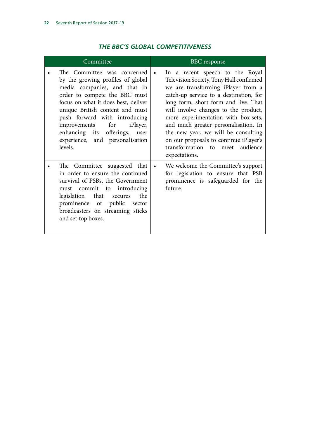<span id="page-23-0"></span>

| Committee                                                                                                                                                                                                                                                                                                                                                              | <b>BBC</b> response                                                                                                                                                                                                                                                                                                                                                                                                                                                         |
|------------------------------------------------------------------------------------------------------------------------------------------------------------------------------------------------------------------------------------------------------------------------------------------------------------------------------------------------------------------------|-----------------------------------------------------------------------------------------------------------------------------------------------------------------------------------------------------------------------------------------------------------------------------------------------------------------------------------------------------------------------------------------------------------------------------------------------------------------------------|
| The Committee was concerned<br>by the growing profiles of global<br>media companies, and that in<br>order to compete the BBC must<br>focus on what it does best, deliver<br>unique British content and must<br>push forward with introducing<br>for<br>improvements<br><i>i</i> Player,<br>enhancing its offerings, user<br>experience, and personalisation<br>levels. | In a recent speech to the Royal<br>$\bullet$<br>Television Society, Tony Hall confirmed<br>we are transforming iPlayer from a<br>catch-up service to a destination, for<br>long form, short form and live. That<br>will involve changes to the product,<br>more experimentation with box-sets,<br>and much greater personalisation. In<br>the new year, we will be consulting<br>on our proposals to continue iPlayer's<br>transformation to meet audience<br>expectations. |
| The Committee suggested that<br>in order to ensure the continued<br>survival of PSBs, the Government<br>must commit to introducing<br>legislation that secures<br>the<br>prominence of public<br>sector<br>broadcasters on streaming sticks<br>and set-top boxes.                                                                                                      | We welcome the Committee's support<br>$\bullet$<br>for legislation to ensure that PSB<br>prominence is safeguarded for the<br>future.                                                                                                                                                                                                                                                                                                                                       |

### *THE BBC'S GLOBAL COMPETITIVENESS*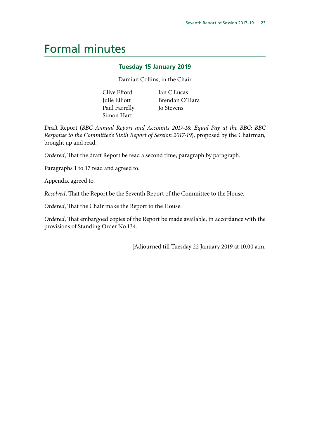# <span id="page-24-0"></span>Formal minutes

#### **Tuesday 15 January 2019**

Damian Collins, in the Chair

| Clive Efford  | Ian C Lucas       |
|---------------|-------------------|
| Julie Elliott | Brendan O'Hara    |
| Paul Farrelly | <b>Jo Stevens</b> |
| Simon Hart    |                   |

Draft Report (*BBC Annual Report and Accounts 2017-18: Equal Pay at the BBC: BBC Response to the Committee's Sixth Report of Session 2017-19*), proposed by the Chairman, brought up and read.

*Ordered*, That the draft Report be read a second time, paragraph by paragraph.

Paragraphs 1 to 17 read and agreed to.

Appendix agreed to.

*Resolved*, That the Report be the Seventh Report of the Committee to the House.

*Ordered*, That the Chair make the Report to the House.

*Ordered*, That embargoed copies of the Report be made available, in accordance with the provisions of Standing Order No.134.

[Adjourned till Tuesday 22 January 2019 at 10.00 a.m.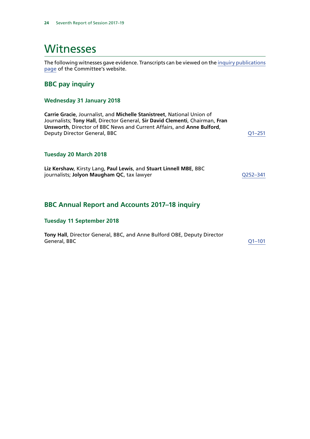# <span id="page-25-0"></span>Witnesses

The following witnesses gave evidence. Transcripts can be viewed on the [inquiry publications](https://www.parliament.uk/business/committees/committees-a-z/commons-select/digital-culture-media-and-sport-committee/inquiries/parliament-2017/inquiry4/publications/) [page](https://www.parliament.uk/business/committees/committees-a-z/commons-select/digital-culture-media-and-sport-committee/inquiries/parliament-2017/inquiry4/publications/) of the Committee's website.

#### **BBC pay inquiry**

#### **Wednesday 31 January 2018**

**Carrie Gracie**, Journalist, and **Michelle Stanistreet**, National Union of Journalists; **Tony Hall**, Director General, **Sir David Clementi**, Chairman, **Fran Unsworth**, Director of BBC News and Current Affairs, and **Anne Bulford**, Deputy Director General, BBC [Q1–251](http://data.parliament.uk/WrittenEvidence/CommitteeEvidence.svc/EvidenceDocument/Digital,%20Culture,%20Media%20and%20Sport/BBC%20pay/Oral/77888.html)

#### **Tuesday 20 March 2018**

**Liz Kershaw**, Kirsty Lang, **Paul Lewis**, and **Stuart Linnell MBE**, BBC journalists; **Jolyon Maugham QC**, tax lawyer **COMP CONTENSISTS** and [Q252–341](http://data.parliament.uk/WrittenEvidence/CommitteeEvidence.svc/EvidenceDocument/Digital,%20Culture,%20Media%20and%20Sport/BBC%20pay/Oral/80791.html)

#### **BBC Annual Report and Accounts 2017–18 inquiry**

#### **Tuesday 11 September 2018**

**Tony Hall**, Director General, BBC, and Anne Bulford OBE, Deputy Director General, BBC [Q1–101](http://data.parliament.uk/WrittenEvidence/CommitteeEvidence.svc/EvidenceDocument/Digital,%20Culture,%20Media%20and%20Sport/BBC%20Annual%20Report%202017-18/Oral/89654.html)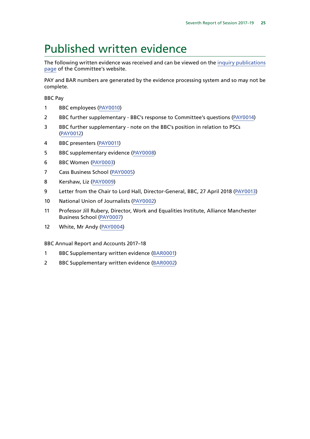# <span id="page-26-0"></span>Published written evidence

The following written evidence was received and can be viewed on the [inquiry publications](https://www.parliament.uk/business/committees/committees-a-z/commons-select/digital-culture-media-and-sport-committee/inquiries/parliament-2017/inquiry4/publications/) [page](https://www.parliament.uk/business/committees/committees-a-z/commons-select/digital-culture-media-and-sport-committee/inquiries/parliament-2017/inquiry4/publications/) of the Committee's website.

PAY and BAR numbers are generated by the evidence processing system and so may not be complete.

BBC Pay

- 1 BBC employees [\(PAY0010](http://data.parliament.uk/WrittenEvidence/CommitteeEvidence.svc/EvidenceDocument/Digital,%20Culture,%20Media%20and%20Sport/BBC%20pay/Written/80600.html))
- 2 BBC further supplementary BBC's response to Committee's questions [\(PAY0014\)](http://data.parliament.uk/WrittenEvidence/CommitteeEvidence.svc/EvidenceDocument/Digital,%20Culture,%20Media%20and%20Sport/BBC%20pay/Written/83208.html)
- 3 BBC further supplementary note on the BBC's position in relation to PSCs ([PAY0012](http://data.parliament.uk/WrittenEvidence/CommitteeEvidence.svc/EvidenceDocument/Digital,%20Culture,%20Media%20and%20Sport/BBC%20pay/Written/80602.html))
- 4 BBC presenters ([PAY0011\)](http://data.parliament.uk/WrittenEvidence/CommitteeEvidence.svc/EvidenceDocument/Digital,%20Culture,%20Media%20and%20Sport/BBC%20pay/Written/80601.html)
- 5 BBC supplementary evidence [\(PAY0008](http://data.parliament.uk/WrittenEvidence/CommitteeEvidence.svc/EvidenceDocument/Digital,%20Culture,%20Media%20and%20Sport/BBC%20pay/Written/79642.html))
- 6 BBC Women [\(PAY0003](http://data.parliament.uk/WrittenEvidence/CommitteeEvidence.svc/EvidenceDocument/Digital,%20Culture,%20Media%20and%20Sport/BBC%20pay/Written/77594.html))
- 7 Cass Business School [\(PAY0005\)](http://data.parliament.uk/WrittenEvidence/CommitteeEvidence.svc/EvidenceDocument/Digital,%20Culture,%20Media%20and%20Sport/BBC%20pay/Written/77860.html)
- 8 Kershaw, Liz ([PAY0009\)](http://data.parliament.uk/WrittenEvidence/CommitteeEvidence.svc/EvidenceDocument/Digital,%20Culture,%20Media%20and%20Sport/BBC%20pay/Written/80598.html)
- 9 Letter from the Chair to Lord Hall, Director-General, BBC, 27 April 2018 ([PAY0013](http://data.parliament.uk/WrittenEvidence/CommitteeEvidence.svc/EvidenceDocument/Digital,%20Culture,%20Media%20and%20Sport/BBC%20pay/Written/80632.html))
- 10 National Union of Journalists ([PAY0002](http://data.parliament.uk/WrittenEvidence/CommitteeEvidence.svc/EvidenceDocument/Digital,%20Culture,%20Media%20and%20Sport/BBC%20pay/Written/77588.html))
- 11 Professor Jill Rubery, Director, Work and Equalities Institute, Alliance Manchester Business School ([PAY0007\)](http://data.parliament.uk/WrittenEvidence/CommitteeEvidence.svc/EvidenceDocument/Digital,%20Culture,%20Media%20and%20Sport/BBC%20pay/Written/78196.html)
- 12 White, Mr Andy [\(PAY0004\)](http://data.parliament.uk/WrittenEvidence/CommitteeEvidence.svc/EvidenceDocument/Digital,%20Culture,%20Media%20and%20Sport/BBC%20pay/Written/77616.html)

BBC Annual Report and Accounts 2017–18

- 1 BBC Supplementary written evidence ([BAR0001\)](http://data.parliament.uk/WrittenEvidence/CommitteeEvidence.svc/EvidenceDocument/Digital,%20Culture,%20Media%20and%20Sport/BBC%20Annual%20Report%202017-18/Written/91292.html)
- 2 BBC Supplementary written evidence ([BAR0002](http://data.parliament.uk/WrittenEvidence/CommitteeEvidence.svc/EvidenceDocument/Digital,%20Culture,%20Media%20and%20Sport/BBC%20Annual%20Report%202017-18/Written/91926.html))